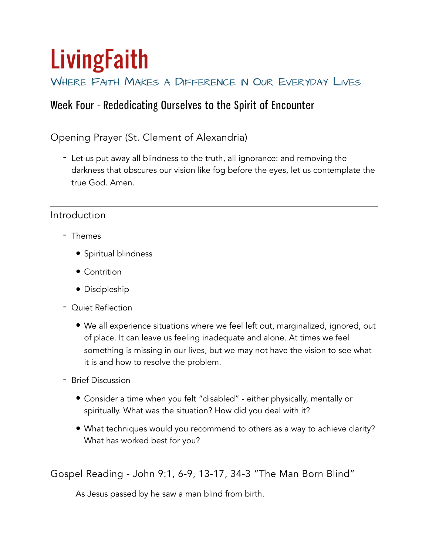# **LivingFaith**

## WHERE FAITH MAKES A DIFFERENCE IN OUR EVERYDAY LIVES

## Week Four - Rededicating Ourselves to the Spirit of Encounter

## Opening Prayer (St. Clement of Alexandria)

- Let us put away all blindness to the truth, all ignorance: and removing the darkness that obscures our vision like fog before the eyes, let us contemplate the true God. Amen.

### Introduction

- Themes
	- Spiritual blindness
	- Contrition
	- Discipleship
- Quiet Reflection
	- We all experience situations where we feel left out, marginalized, ignored, out of place. It can leave us feeling inadequate and alone. At times we feel something is missing in our lives, but we may not have the vision to see what it is and how to resolve the problem.
- Brief Discussion
	- Consider a time when you felt "disabled" either physically, mentally or spiritually. What was the situation? How did you deal with it?
	- What techniques would you recommend to others as a way to achieve clarity? What has worked best for you?

Gospel Reading - John 9:1, 6-9, 13-17, 34-3 "The Man Born Blind"

As Jesus passed by he saw a man blind from birth.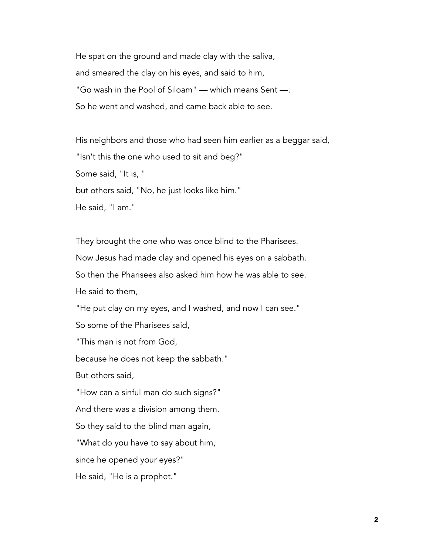He spat on the ground and made clay with the saliva, and smeared the clay on his eyes, and said to him, "Go wash in the Pool of Siloam" — which means Sent —. So he went and washed, and came back able to see.

His neighbors and those who had seen him earlier as a beggar said, "Isn't this the one who used to sit and beg?" Some said, "It is, " but others said, "No, he just looks like him." He said, "I am."

They brought the one who was once blind to the Pharisees. Now Jesus had made clay and opened his eyes on a sabbath. So then the Pharisees also asked him how he was able to see. He said to them,

"He put clay on my eyes, and I washed, and now I can see."

So some of the Pharisees said,

"This man is not from God,

because he does not keep the sabbath."

But others said,

"How can a sinful man do such signs?"

And there was a division among them.

So they said to the blind man again,

"What do you have to say about him,

since he opened your eyes?"

He said, "He is a prophet."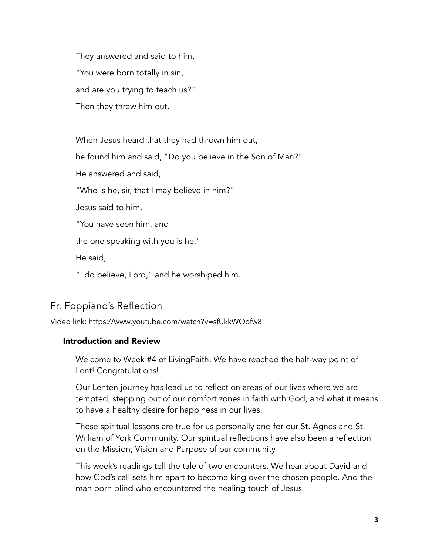They answered and said to him, "You were born totally in sin, and are you trying to teach us?" Then they threw him out.

When Jesus heard that they had thrown him out, he found him and said, "Do you believe in the Son of Man?" He answered and said, "Who is he, sir, that I may believe in him?" Jesus said to him, "You have seen him, and the one speaking with you is he." He said, "I do believe, Lord," and he worshiped him.

## Fr. Foppiano's Reflection

Video link: <https://www.youtube.com/watch?v=sfUkkWOofw8>

#### Introduction and Review

Welcome to Week #4 of LivingFaith. We have reached the half-way point of Lent! Congratulations!

Our Lenten journey has lead us to reflect on areas of our lives where we are tempted, stepping out of our comfort zones in faith with God, and what it means to have a healthy desire for happiness in our lives.

These spiritual lessons are true for us personally and for our St. Agnes and St. William of York Community. Our spiritual reflections have also been a reflection on the Mission, Vision and Purpose of our community.

This week's readings tell the tale of two encounters. We hear about David and how God's call sets him apart to become king over the chosen people. And the man born blind who encountered the healing touch of Jesus.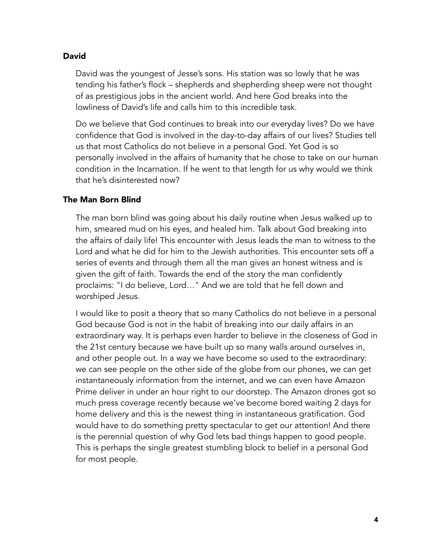#### David

David was the youngest of Jesse's sons. His station was so lowly that he was tending his father's flock – shepherds and shepherding sheep were not thought of as prestigious jobs in the ancient world. And here God breaks into the lowliness of David's life and calls him to this incredible task.

Do we believe that God continues to break into our everyday lives? Do we have confidence that God is involved in the day-to-day affairs of our lives? Studies tell us that most Catholics do not believe in a personal God. Yet God is so personally involved in the affairs of humanity that he chose to take on our human condition in the Incarnation. If he went to that length for us why would we think that he's disinterested now?

#### The Man Born Blind

The man born blind was going about his daily routine when Jesus walked up to him, smeared mud on his eyes, and healed him. Talk about God breaking into the affairs of daily life! This encounter with Jesus leads the man to witness to the Lord and what he did for him to the Jewish authorities. This encounter sets off a series of events and through them all the man gives an honest witness and is given the gift of faith. Towards the end of the story the man confidently proclaims: "I do believe, Lord…" And we are told that he fell down and worshiped Jesus.

I would like to posit a theory that so many Catholics do not believe in a personal God because God is not in the habit of breaking into our daily affairs in an extraordinary way. It is perhaps even harder to believe in the closeness of God in the 21st century because we have built up so many walls around ourselves in, and other people out. In a way we have become so used to the extraordinary: we can see people on the other side of the globe from our phones, we can get instantaneously information from the internet, and we can even have Amazon Prime deliver in under an hour right to our doorstep. The Amazon drones got so much press coverage recently because we've become bored waiting 2 days for home delivery and this is the newest thing in instantaneous gratification. God would have to do something pretty spectacular to get our attention! And there is the perennial question of why God lets bad things happen to good people. This is perhaps the single greatest stumbling block to belief in a personal God for most people.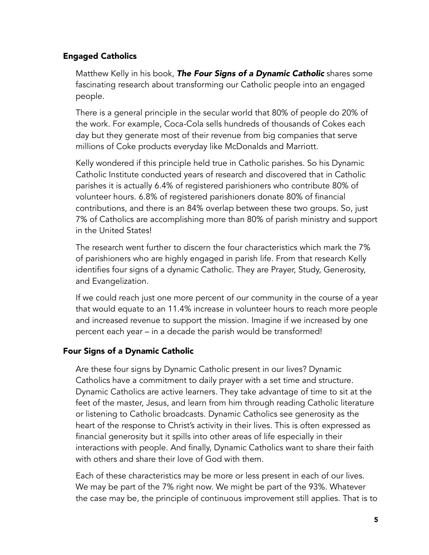#### Engaged Catholics

Matthew Kelly in his book, *The Four Signs of a Dynamic Catholic* shares some fascinating research about transforming our Catholic people into an engaged people.

There is a general principle in the secular world that 80% of people do 20% of the work. For example, Coca-Cola sells hundreds of thousands of Cokes each day but they generate most of their revenue from big companies that serve millions of Coke products everyday like McDonalds and Marriott.

Kelly wondered if this principle held true in Catholic parishes. So his Dynamic Catholic Institute conducted years of research and discovered that in Catholic parishes it is actually 6.4% of registered parishioners who contribute 80% of volunteer hours. 6.8% of registered parishioners donate 80% of financial contributions, and there is an 84% overlap between these two groups. So, just 7% of Catholics are accomplishing more than 80% of parish ministry and support in the United States!

The research went further to discern the four characteristics which mark the 7% of parishioners who are highly engaged in parish life. From that research Kelly identifies four signs of a dynamic Catholic. They are Prayer, Study, Generosity, and Evangelization.

If we could reach just one more percent of our community in the course of a year that would equate to an 11.4% increase in volunteer hours to reach more people and increased revenue to support the mission. Imagine if we increased by one percent each year – in a decade the parish would be transformed!

#### Four Signs of a Dynamic Catholic

Are these four signs by Dynamic Catholic present in our lives? Dynamic Catholics have a commitment to daily prayer with a set time and structure. Dynamic Catholics are active learners. They take advantage of time to sit at the feet of the master, Jesus, and learn from him through reading Catholic literature or listening to Catholic broadcasts. Dynamic Catholics see generosity as the heart of the response to Christ's activity in their lives. This is often expressed as financial generosity but it spills into other areas of life especially in their interactions with people. And finally, Dynamic Catholics want to share their faith with others and share their love of God with them.

Each of these characteristics may be more or less present in each of our lives. We may be part of the 7% right now. We might be part of the 93%. Whatever the case may be, the principle of continuous improvement still applies. That is to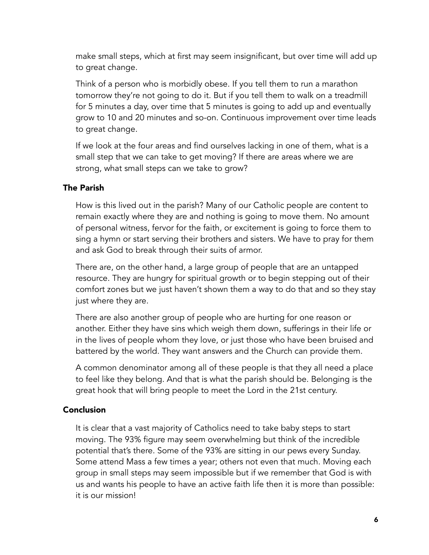make small steps, which at first may seem insignificant, but over time will add up to great change.

Think of a person who is morbidly obese. If you tell them to run a marathon tomorrow they're not going to do it. But if you tell them to walk on a treadmill for 5 minutes a day, over time that 5 minutes is going to add up and eventually grow to 10 and 20 minutes and so-on. Continuous improvement over time leads to great change.

If we look at the four areas and find ourselves lacking in one of them, what is a small step that we can take to get moving? If there are areas where we are strong, what small steps can we take to grow?

#### The Parish

How is this lived out in the parish? Many of our Catholic people are content to remain exactly where they are and nothing is going to move them. No amount of personal witness, fervor for the faith, or excitement is going to force them to sing a hymn or start serving their brothers and sisters. We have to pray for them and ask God to break through their suits of armor.

There are, on the other hand, a large group of people that are an untapped resource. They are hungry for spiritual growth or to begin stepping out of their comfort zones but we just haven't shown them a way to do that and so they stay just where they are.

There are also another group of people who are hurting for one reason or another. Either they have sins which weigh them down, sufferings in their life or in the lives of people whom they love, or just those who have been bruised and battered by the world. They want answers and the Church can provide them.

A common denominator among all of these people is that they all need a place to feel like they belong. And that is what the parish should be. Belonging is the great hook that will bring people to meet the Lord in the 21st century.

#### Conclusion

It is clear that a vast majority of Catholics need to take baby steps to start moving. The 93% figure may seem overwhelming but think of the incredible potential that's there. Some of the 93% are sitting in our pews every Sunday. Some attend Mass a few times a year; others not even that much. Moving each group in small steps may seem impossible but if we remember that God is with us and wants his people to have an active faith life then it is more than possible: it is our mission!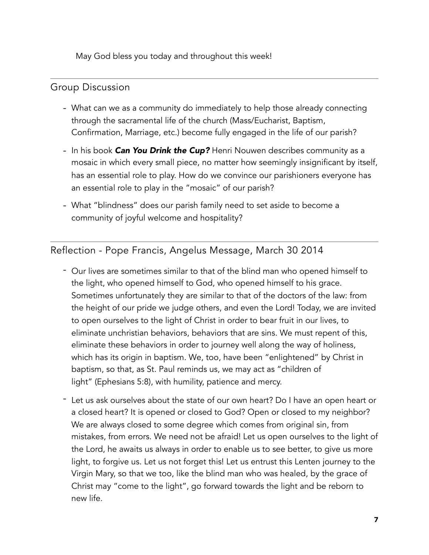May God bless you today and throughout this week!

#### Group Discussion

- What can we as a community do immediately to help those already connecting through the sacramental life of the church (Mass/Eucharist, Baptism, Confirmation, Marriage, etc.) become fully engaged in the life of our parish?
- In his book *Can You Drink the Cup?* Henri Nouwen describes community as a mosaic in which every small piece, no matter how seemingly insignificant by itself, has an essential role to play. How do we convince our parishioners everyone has an essential role to play in the "mosaic" of our parish?
- What "blindness" does our parish family need to set aside to become a community of joyful welcome and hospitality?

Reflection - Pope Francis, Angelus Message, March 30 2014

- Our lives are sometimes similar to that of the blind man who opened himself to the light, who opened himself to God, who opened himself to his grace. Sometimes unfortunately they are similar to that of the doctors of the law: from the height of our pride we judge others, and even the Lord! Today, we are invited to open ourselves to the light of Christ in order to bear fruit in our lives, to eliminate unchristian behaviors, behaviors that are sins. We must repent of this, eliminate these behaviors in order to journey well along the way of holiness, which has its origin in baptism. We, too, have been "enlightened" by Christ in baptism, so that, as St. Paul reminds us, we may act as "children of light" (Ephesians 5:8), with humility, patience and mercy.
- Let us ask ourselves about the state of our own heart? Do I have an open heart or a closed heart? It is opened or closed to God? Open or closed to my neighbor? We are always closed to some degree which comes from original sin, from mistakes, from errors. We need not be afraid! Let us open ourselves to the light of the Lord, he awaits us always in order to enable us to see better, to give us more light, to forgive us. Let us not forget this! Let us entrust this Lenten journey to the Virgin Mary, so that we too, like the blind man who was healed, by the grace of Christ may "come to the light", go forward towards the light and be reborn to new life.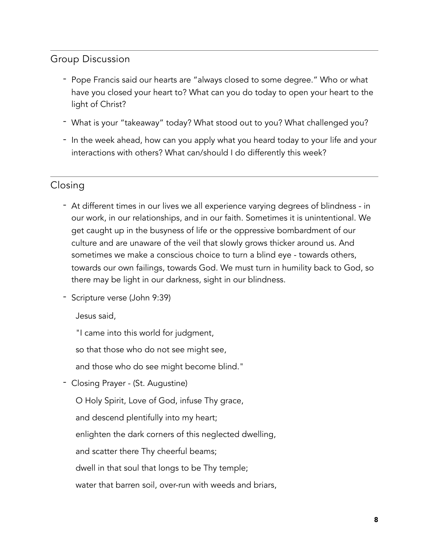## Group Discussion

- Pope Francis said our hearts are "always closed to some degree." Who or what have you closed your heart to? What can you do today to open your heart to the light of Christ?
- What is your "takeaway" today? What stood out to you? What challenged you?
- In the week ahead, how can you apply what you heard today to your life and your interactions with others? What can/should I do differently this week?

## Closing

- At different times in our lives we all experience varying degrees of blindness in our work, in our relationships, and in our faith. Sometimes it is unintentional. We get caught up in the busyness of life or the oppressive bombardment of our culture and are unaware of the veil that slowly grows thicker around us. And sometimes we make a conscious choice to turn a blind eye - towards others, towards our own failings, towards God. We must turn in humility back to God, so there may be light in our darkness, sight in our blindness.
- Scripture verse (John 9:39)

Jesus said,

"I came into this world for judgment,

so that those who do not see might see,

and those who do see might become blind."

- Closing Prayer - (St. Augustine)

O Holy Spirit, Love of God, infuse Thy grace,

and descend plentifully into my heart;

enlighten the dark corners of this neglected dwelling,

and scatter there Thy cheerful beams;

dwell in that soul that longs to be Thy temple;

water that barren soil, over-run with weeds and briars,